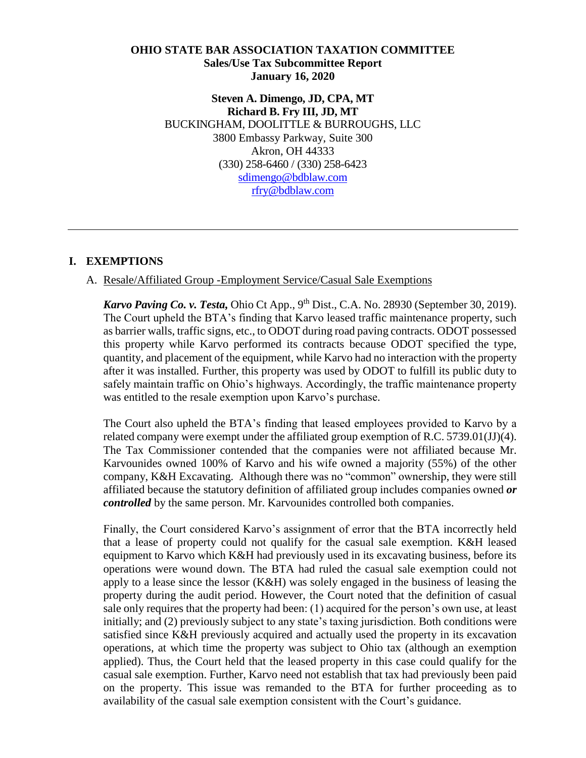#### **OHIO STATE BAR ASSOCIATION TAXATION COMMITTEE Sales/Use Tax Subcommittee Report January 16, 2020**

**Steven A. Dimengo, JD, CPA, MT Richard B. Fry III, JD, MT** BUCKINGHAM, DOOLITTLE & BURROUGHS, LLC 3800 Embassy Parkway, Suite 300 Akron, OH 44333 (330) 258-6460 / (330) 258-6423 [sdimengo@bdblaw.com](mailto:sdimengo@bdblaw.com) [rfry@bdblaw.com](mailto:rfry@bdblaw.com)

## **I. EXEMPTIONS**

#### A. Resale/Affiliated Group -Employment Service/Casual Sale Exemptions

*Karvo Paving Co. v. Testa, Ohio Ct App., 9<sup>th</sup> Dist., C.A. No. 28930 (September 30, 2019).* The Court upheld the BTA's finding that Karvo leased traffic maintenance property, such as barrier walls, traffic signs, etc., to ODOT during road paving contracts. ODOT possessed this property while Karvo performed its contracts because ODOT specified the type, quantity, and placement of the equipment, while Karvo had no interaction with the property after it was installed. Further, this property was used by ODOT to fulfill its public duty to safely maintain traffic on Ohio's highways. Accordingly, the traffic maintenance property was entitled to the resale exemption upon Karvo's purchase.

The Court also upheld the BTA's finding that leased employees provided to Karvo by a related company were exempt under the affiliated group exemption of R.C. 5739.01(JJ)(4). The Tax Commissioner contended that the companies were not affiliated because Mr. Karvounides owned 100% of Karvo and his wife owned a majority (55%) of the other company, K&H Excavating. Although there was no "common" ownership, they were still affiliated because the statutory definition of affiliated group includes companies owned *or controlled* by the same person. Mr. Karvounides controlled both companies.

Finally, the Court considered Karvo's assignment of error that the BTA incorrectly held that a lease of property could not qualify for the casual sale exemption. K&H leased equipment to Karvo which K&H had previously used in its excavating business, before its operations were wound down. The BTA had ruled the casual sale exemption could not apply to a lease since the lessor (K&H) was solely engaged in the business of leasing the property during the audit period. However, the Court noted that the definition of casual sale only requires that the property had been: (1) acquired for the person's own use, at least initially; and (2) previously subject to any state's taxing jurisdiction. Both conditions were satisfied since K&H previously acquired and actually used the property in its excavation operations, at which time the property was subject to Ohio tax (although an exemption applied). Thus, the Court held that the leased property in this case could qualify for the casual sale exemption. Further, Karvo need not establish that tax had previously been paid on the property. This issue was remanded to the BTA for further proceeding as to availability of the casual sale exemption consistent with the Court's guidance.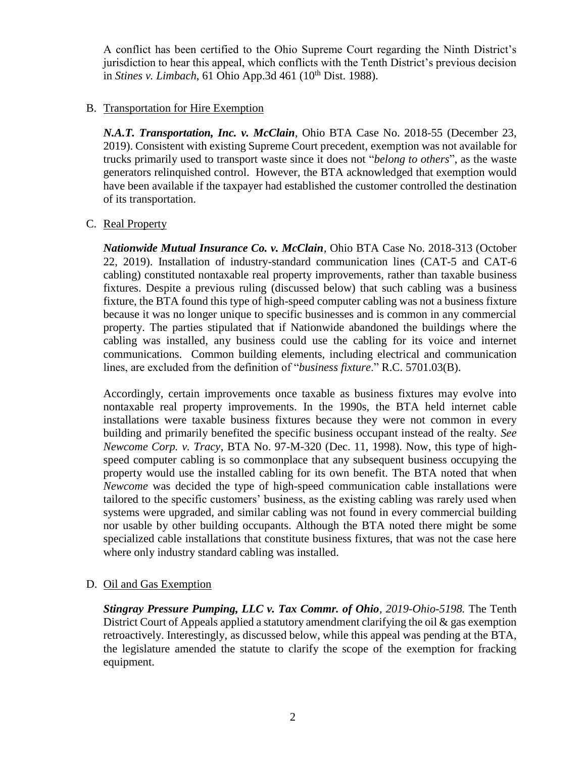A conflict has been certified to the Ohio Supreme Court regarding the Ninth District's jurisdiction to hear this appeal, which conflicts with the Tenth District's previous decision in *Stines v. Limbach*, 61 Ohio App.3d 461 (10th Dist. 1988).

### B. Transportation for Hire Exemption

*N.A.T. Transportation, Inc. v. McClain*, Ohio BTA Case No. 2018-55 (December 23, 2019). Consistent with existing Supreme Court precedent, exemption was not available for trucks primarily used to transport waste since it does not "*belong to others*", as the waste generators relinquished control. However, the BTA acknowledged that exemption would have been available if the taxpayer had established the customer controlled the destination of its transportation.

#### C. Real Property

*[Nationwide Mutual Insurance Co. v. McClain](https://ohio-bta.modria.com/download?BID=925990),* Ohio BTA Case No. 2018-313 (October [22, 2019\).](https://ohio-bta.modria.com/download?BID=925990) Installation of industry-standard communication lines (CAT-5 and CAT-6 cabling) constituted nontaxable real property improvements, rather than taxable business fixtures. Despite a previous ruling (discussed below) that such cabling was a business fixture, the BTA found this type of high-speed computer cabling was not a business fixture because it was no longer unique to specific businesses and is common in any commercial property. The parties stipulated that if Nationwide abandoned the buildings where the cabling was installed, any business could use the cabling for its voice and internet communications. Common building elements, including electrical and communication lines, are excluded from the definition of "*business fixture*." [R.C. 5701.03\(B\).](http://codes.ohio.gov/orc/5701.03)

Accordingly, certain improvements once taxable as business fixtures may evolve into nontaxable real property improvements. In the 1990s, the BTA held internet cable installations were taxable business fixtures because they were not common in every building and primarily benefited the specific business occupant instead of the realty. *See [Newcome Corp. v. Tracy](https://ohio-bta.modria.com/download?BID=200852)*, BTA No. 97-M-320 (Dec. 11, 1998). Now, this type of highspeed computer cabling is so commonplace that any subsequent business occupying the property would use the installed cabling for its own benefit. The BTA noted that when *Newcome* was decided the type of high-speed communication cable installations were tailored to the specific customers' business, as the existing cabling was rarely used when systems were upgraded, and similar cabling was not found in every commercial building nor usable by other building occupants. Although the BTA noted there might be some specialized cable installations that constitute business fixtures, that was not the case here where only industry standard cabling was installed.

## D. Oil and Gas Exemption

*[Stingray Pressure Pumping, LLC v. Tax Commr. of Ohio](https://www.supremecourt.ohio.gov/rod/docs/pdf/10/2019/2019-Ohio-5198.pdf), 2019-Ohio-5198.* The [Tenth](https://tenthdistrictcourt.org/)  [District Court of Appeals](https://tenthdistrictcourt.org/) applied a statutory amendment clarifying the oil & gas exemption retroactively. Interestingly, as discussed below, while this appeal was pending at the [BTA,](https://bta.ohio.gov/) the legislature amended the statute to clarify the scope of the exemption for fracking equipment.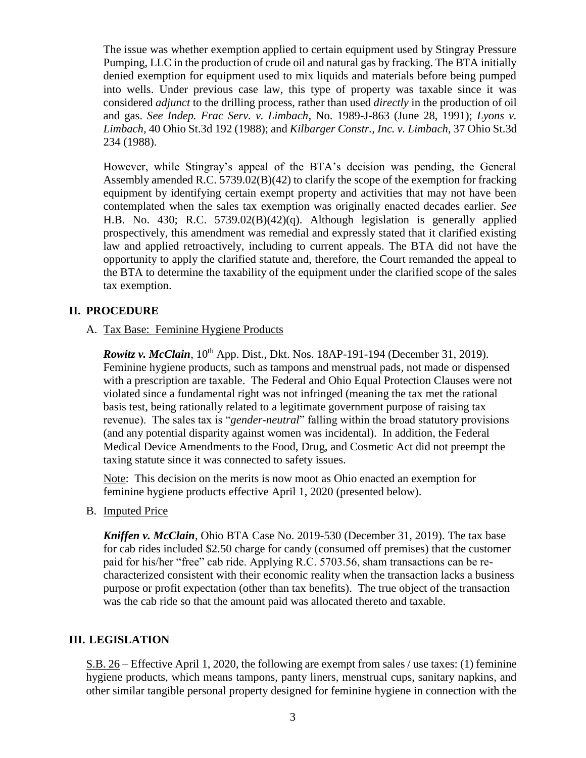The issue was whether exemption applied to certain equipment used by Stingray Pressure Pumping, LLC in the production of crude oil and natural gas by fracking. The BTA initially denied exemption for equipment used to mix liquids and materials before being pumped into wells. Under previous case law, this type of property was taxable since it was considered *adjunct* to the drilling process, rather than used *directly* in the production of oil and gas. *See Indep. Frac Serv. v. Limbach,* No. 1989-J-863 (June 28, 1991); *Lyons v. Limbach,* 40 Ohio St.3d 192 (1988); and *Kilbarger Constr., Inc. v. Limbach,* 37 Ohio St.3d 234 (1988).

However, while Stingray's appeal of the BTA's decision was pending, the General Assembly amended R.C. 5739.02(B)(42) to clarify the scope of the exemption for fracking equipment by identifying certain exempt property and activities that may not have been contemplated when the sales tax exemption was originally enacted decades earlier. *See*  [H.B. No. 430;](https://www.legislature.ohio.gov/legislation/legislation-summary?id=GA132-HB-430) [R.C. 5739.02\(B\)\(42\)\(q\).](http://codes.ohio.gov/orc/5739.02) Although legislation is generally applied prospectively, this amendment was remedial and expressly stated that it clarified existing law and applied retroactively, including to current appeals. The BTA did not have the opportunity to apply the clarified statute and, therefore, the Court remanded the appeal to the BTA to determine the taxability of the equipment under the clarified scope of the sales tax exemption.

## **II. PROCEDURE**

A. Tax Base: Feminine Hygiene Products

*Rowitz v. McClain*, 10<sup>th</sup> App. Dist., Dkt. Nos. 18AP-191-194 (December 31, 2019). Feminine hygiene products, such as tampons and menstrual pads, not made or dispensed with a prescription are taxable. The Federal and Ohio Equal Protection Clauses were not violated since a fundamental right was not infringed (meaning the tax met the rational basis test, being rationally related to a legitimate government purpose of raising tax revenue). The sales tax is "*gender-neutral*" falling within the broad statutory provisions (and any potential disparity against women was incidental). In addition, the Federal Medical Device Amendments to the Food, Drug, and Cosmetic Act did not preempt the taxing statute since it was connected to safety issues.

Note: This decision on the merits is now moot as Ohio enacted an exemption for feminine hygiene products effective April 1, 2020 (presented below).

B. Imputed Price

*Kniffen v. McClain*, Ohio BTA Case No. 2019-530 (December 31, 2019). The tax base for cab rides included \$2.50 charge for candy (consumed off premises) that the customer paid for his/her "free" cab ride. Applying R.C. 5703.56, sham transactions can be recharacterized consistent with their economic reality when the transaction lacks a business purpose or profit expectation (other than tax benefits). The true object of the transaction was the cab ride so that the amount paid was allocated thereto and taxable.

#### **III. LEGISLATION**

S.B. 26 – Effective April 1, 2020, the following are exempt from sales / use taxes: (1) feminine hygiene products, which means tampons, panty liners, menstrual cups, sanitary napkins, and other similar tangible personal property designed for feminine hygiene in connection with the